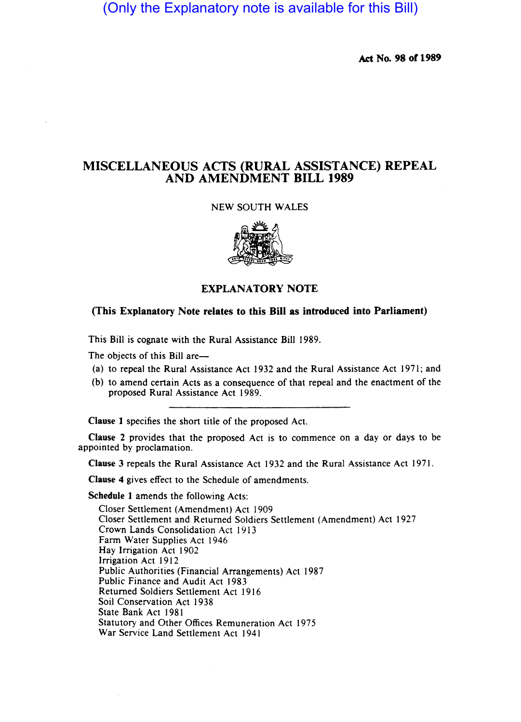(Only the Explanatory note is available for this Bill)

Act No. 98 of 1989

## MISCELLANEOUS ACTS (RURAL ASSISTANCE) REPEAL AND AMENDMENT BILL 1989

## NEW SOUTH WALES



## EXPLANATORY NOTE

## (This Explanatory Note relates to this Bill as introduced into Parliament)

This Bill is cognate with the Rural Assistance Bill 1989.

The objects of this Bill are-

- (a) to repeal the Rural Assistance Act 1932 and the Rural Assistance Act 1971; and
- (b) to amend certain Acts as a consequence of that repeal and the enactment of the proposed Rural Assistance Act 1989.

Clause 1 specifies the short title of the proposed Act.

Clause 2 provides that the proposed Act is to commence on a day or days to be appointed by proclamation.

Clause 3 repeals the Rural Assistance Act 1932 and the Rural Assistance Act 1971.

Clause 4 gives effect to the Schedule of amendments.

Schedule 1 amends the following Acts:

Closer Settlement (Amendment) Act 1909 Closer Settlement and Returned Soldiers Settlement (Amendment) Act 1927 Crown Lands Consolidation Act 1913 Farm Water Supplies Act 1946 Hay Irrigation Act 1902 Irrigation Act 1912 Public Authorities (Financial Arrangements) Act 1987 Public Finance and Audit Act 1983 Returned Soldiers Settlement Act 1916 Soil Conservation Act 1938 State Bank Act 1981 Statutory and Other Offices Remuneration Act 1975 War Service Land Settlement Act 1941